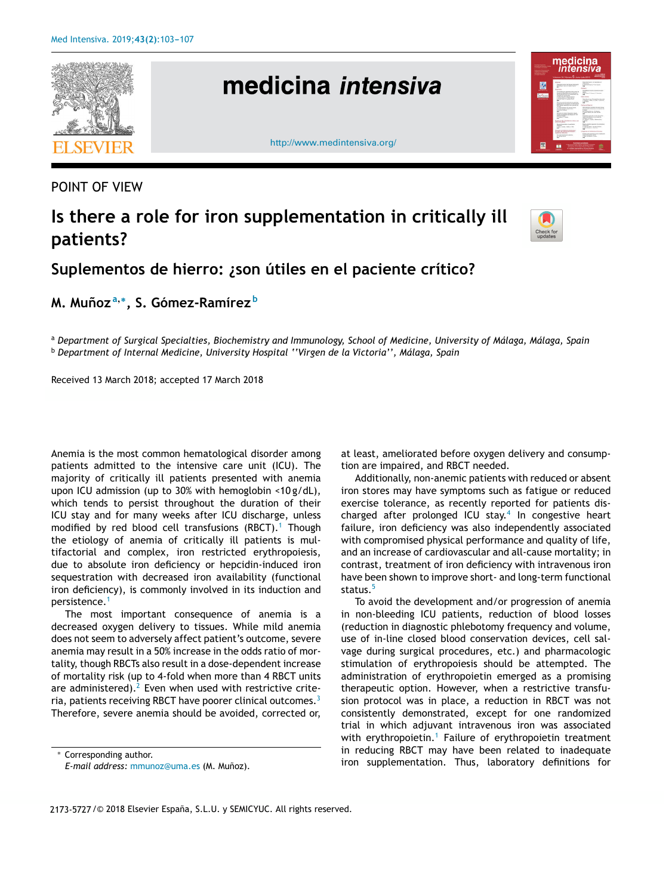

POINT OF VIEW

## **Is there a role for iron supplementation in critically ill patients?**



## **Suplementos de hierro: ¿son útiles en el paciente crítico?**

**M. Munoz ˜ a**,∗ **, S. Gómez-Ramírez <sup>b</sup>**

a Department of Surgical Specialties, Biochemistry and Immunology, School of Medicine, University of Málaga, Málaga, Spain <sup>b</sup> *Department of Internal Medicine, University Hospital ''Virgen de la Victoria'', Málaga, Spain*

Received 13 March 2018; accepted 17 March 2018

Anemia is the most common hematological disorder among patients admitted to the intensive care unit (ICU). The majority of critically ill patients presented with anemia upon ICU admission (up to 30% with hemoglobin <10 g/dL), which tends to persist throughout the duration of their ICU stay and for many weeks after ICU discharge, unless modified by red blood cell transfusions  $(RBCT)$ .<sup>1</sup> Though the etiology of anemia of critically ill patients is multifactorial and complex, iron restricted erythropoiesis, due to absolute iron deficiency or hepcidin-induced iron sequestration with decreased iron availability (functional iron deficiency), is commonly involved in its induction and persistence.<sup>1</sup>

The most important consequence of anemia is a decreased oxygen delivery to tissues. While mild anemia does not seem to adversely affect patient's outcome, severe anemia may result in a 50% increase in the odds ratio of mortality, though RBCTs also result in a dose-dependent increase of mortality risk (up to 4-fold when more than 4 RBCT units are administered). $<sup>2</sup>$  Even when used with restrictive crite-</sup> ria, patients receiving RBCT have poorer clinical outcomes.<sup>3</sup> Therefore, severe anemia should be avoided, corrected or,

at least, ameliorated before oxygen delivery and consumption are impaired, and RBCT needed.

Additionally, non-anemic patients with reduced or absent iron stores may have symptoms such as fatigue or reduced exercise tolerance, as recently reported for patients discharged after prolonged ICU stay.<sup>4</sup> In congestive heart failure, iron deficiency was also independently associated with compromised physical performance and quality of life, and an increase of cardiovascular and all-cause mortality; in contrast, treatment of iron deficiency with intravenous iron have been shown to improve short- and long-term functional status.<sup>5</sup>

To avoid the development and/or progression of anemia in non-bleeding ICU patients, reduction of blood losses (reduction in diagnostic phlebotomy frequency and volume, use of in-line closed blood conservation devices, cell salvage during surgical procedures, etc.) and pharmacologic stimulation of erythropoiesis should be attempted. The administration of erythropoietin emerged as a promising therapeutic option. However, when a restrictive transfusion protocol was in place, a reduction in RBCT was not consistently demonstrated, except for one randomized trial in which adjuvant intravenous iron was associated with erythropoietin.<sup>1</sup> Failure of erythropoietin treatment in reducing RBCT may have been related to inadequate iron supplementation. Thus, laboratory definitions for

<sup>∗</sup> Corresponding author.

*E-mail address:* mmunoz@uma.es (M. Munoz). ˜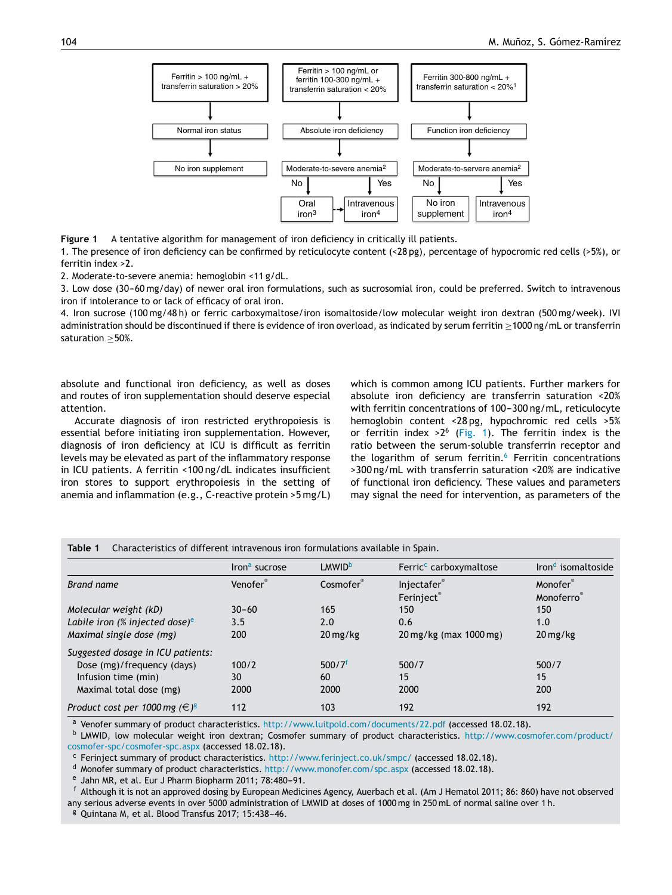

**Figure 1** A tentative algorithm for management of iron deficiency in critically ill patients.

1. The presence of iron deficiency can be confirmed by reticulocyte content (<28 pg), percentage of hypocromic red cells (>5%), or ferritin index >2.

2. Moderate-to-severe anemia: hemoglobin <11 g/dL.

3. Low dose (30-60 mg/day) of newer oral iron formulations, such as sucrosomial iron, could be preferred. Switch to intravenous iron if intolerance to or lack of efficacy of oral iron.

4. Iron sucrose (100 mg/48 h) or ferric carboxymaltose/iron isomaltoside/low molecular weight iron dextran (500 mg/week). IVI administration should be discontinued if there is evidence of iron overload, as indicated by serum ferritin ≥1000 ng/mL or transferrin saturation ≥50%.

absolute and functional iron deficiency, as well as doses and routes of iron supplementation should deserve especial attention.

Accurate diagnosis of iron restricted erythropoiesis is essential before initiating iron supplementation. However, diagnosis of iron deficiency at ICU is difficult as ferritin levels may be elevated as part of the inflammatory response in ICU patients. A ferritin <100 ng/dL indicates insufficient iron stores to support erythropoiesis in the setting of anemia and inflammation (e.g., C-reactive protein >5 mg/L) which is common among ICU patients. Further markers for absolute iron deficiency are transferrin saturation <20% with ferritin concentrations of 100-300 ng/mL, reticulocyte hemoglobin content <28 pg, hypochromic red cells >5% or ferritin index >  $2^6$  (Fig. 1). The ferritin index is the ratio between the serum-soluble transferrin receptor and the logarithm of serum ferritin.<sup>6</sup> Ferritin concentrations >300 ng/mL with transferrin saturation <20% are indicative of functional iron deficiency. These values and parameters may signal the need for intervention, as parameters of the

|                                       | Iron <sup>a</sup> sucrose | <b>LMWID</b> <sup>b</sup> | Ferric <sup>c</sup> carboxymaltose | Iron <sup>d</sup> isomaltoside |  |
|---------------------------------------|---------------------------|---------------------------|------------------------------------|--------------------------------|--|
| Brand name                            | Venofer®                  | Cosmofer                  | Injectafer                         | Monofer®                       |  |
|                                       |                           |                           | Ferinject®                         | Monoferro                      |  |
| Molecular weight (kD)                 | $30 - 60$                 | 165                       | 150                                | 150                            |  |
| Labile iron (% injected dose) $e$     | 3.5                       | 2.0                       | 0.6                                | 1.0                            |  |
| Maximal single dose (mg)              | 200                       | $20 \,\mathrm{mg/kg}$     | 20 mg/kg (max 1000 mg)             | $20 \,\mathrm{mg/kg}$          |  |
| Suggested dosage in ICU patients:     |                           |                           |                                    |                                |  |
| Dose (mg)/frequency (days)            | 100/2                     | 500/7 <sup>f</sup>        | 500/7                              | 500/7                          |  |
| Infusion time (min)                   | 30                        | 60                        | 15                                 | 15                             |  |
| Maximal total dose (mg)               | 2000                      | 2000                      | 2000                               | 200                            |  |
| Product cost per 1000 mg $(\infty)^g$ | 112                       | 103                       | 192                                | 192                            |  |

**Table 1** Characteristics of different intravenous iron formulations available in Spain.

<sup>a</sup> Venofer summary of product characteristics. http://www.luitpold.com/documents/22.pdf (accessed 18.02.18).

<sup>b</sup> LMWID, low molecular weight iron dextran; Cosmofer summary of product characteristics. http://www.cosmofer.com/product/ cosmofer-spc/cosmofer-spc.aspx (accessed 18.02.18).

<sup>c</sup> Ferinject summary of product characteristics. http://www.ferinject.co.uk/smpc/ (accessed 18.02.18).

<sup>d</sup> Monofer summary of product characteristics. http://www.monofer.com/spc.aspx (accessed 18.02.18).

<sup>e</sup> Jahn MR, et al. Eur J Pharm Biopharm 2011; 78:480-91.

<sup>f</sup> Although it is not an approved dosing by European Medicines Agency, Auerbach et al. (Am J Hematol 2011; 86: 860) have not observed any serious adverse events in over 5000 administration of LMWID at doses of 1000 mg in 250 mL of normal saline over 1 h.

<sup>g</sup> Quintana M, et al. Blood Transfus 2017; 15:438-46.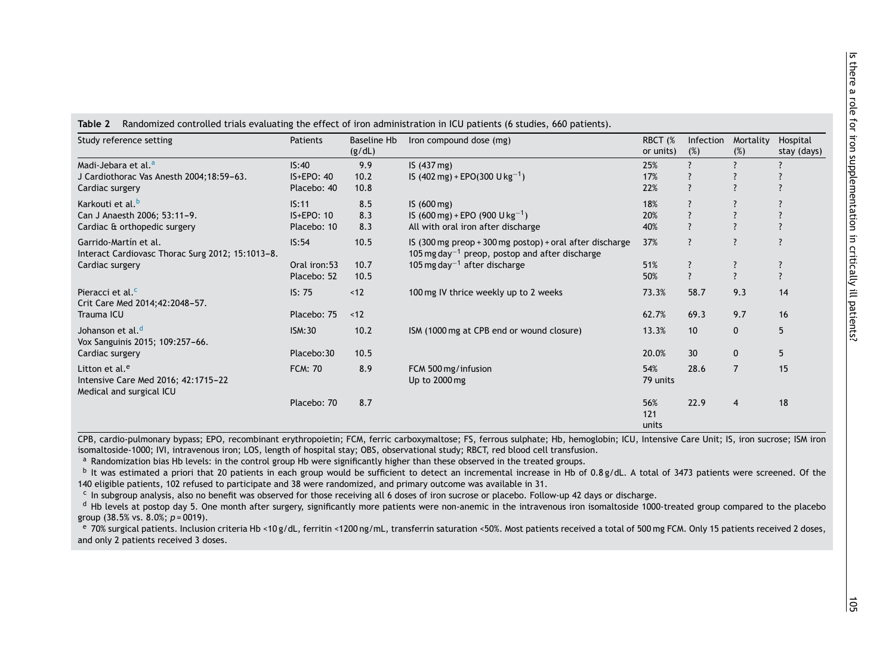| Study reference setting                                                                       | Patients       | <b>Baseline Hb</b> | Iron compound dose (mg)                                                                                                | RBCT (%             | Infection                | Mortality      | Hospital                 |
|-----------------------------------------------------------------------------------------------|----------------|--------------------|------------------------------------------------------------------------------------------------------------------------|---------------------|--------------------------|----------------|--------------------------|
|                                                                                               |                | (g/dL)             |                                                                                                                        | or units)           | (%)                      | (%)            | stay (days)              |
| Madi-Jebara et al. <sup>a</sup>                                                               | IS:40          | 9.9                | IS (437 mg)                                                                                                            | 25%                 |                          |                |                          |
| J Cardiothorac Vas Anesth 2004;18:59-63.                                                      | $IS + EPO: 40$ | 10.2               | IS (402 mg) + EPO(300 U kg <sup>-1</sup> )                                                                             | 17%                 |                          |                |                          |
| Cardiac surgery                                                                               | Placebo: 40    | 10.8               |                                                                                                                        | 22%                 |                          |                |                          |
| Karkouti et al. <sup>b</sup>                                                                  | IS:11          | 8.5                | IS(600mg)                                                                                                              | 18%                 |                          |                |                          |
| Can J Anaesth 2006; 53:11-9.                                                                  | IS+EPO: 10     | 8.3                | IS (600 mg) + EPO (900 U kg <sup>-1</sup> )                                                                            | 20%                 |                          |                |                          |
| Cardiac & orthopedic surgery                                                                  | Placebo: 10    | 8.3                | All with oral iron after discharge                                                                                     | 40%                 |                          |                | $\overline{\phantom{a}}$ |
| Garrido-Martín et al.<br>Interact Cardiovasc Thorac Surg 2012; 15:1013-8.<br>Cardiac surgery  | IS:54          | 10.5               | IS (300 mg preop + 300 mg postop) + oral after discharge<br>105 mg day <sup>-1</sup> preop, postop and after discharge | 37%                 |                          | $\overline{?}$ | $\overline{?}$           |
|                                                                                               | Oral iron:53   | 10.7               | 105 mg day <sup>-1</sup> after discharge                                                                               | 51%                 |                          | $\overline{?}$ | ?                        |
|                                                                                               | Placebo: 52    | 10.5               |                                                                                                                        | 50%                 | $\overline{\phantom{0}}$ | $\overline{?}$ | $\overline{?}$           |
| Pieracci et al. <sup>c</sup><br>Crit Care Med 2014;42:2048-57.<br>Trauma ICU                  | IS: 75         | ~12                | 100 mg IV thrice weekly up to 2 weeks                                                                                  | 73.3%               | 58.7                     | 9.3            | 14                       |
|                                                                                               | Placebo: 75    | < 12               |                                                                                                                        | 62.7%               | 69.3                     | 9.7            | 16                       |
| Johanson et al. <sup>d</sup><br>Vox Sanguinis 2015; 109:257-66.<br>Cardiac surgery            | <b>ISM:30</b>  | 10.2               | ISM (1000 mg at CPB end or wound closure)                                                                              | 13.3%               | 10                       | $\mathbf{0}$   | 5                        |
|                                                                                               | Placebo:30     | 10.5               |                                                                                                                        | 20.0%               | 30                       | $\mathbf 0$    | 5                        |
| Litton et al. <sup>e</sup><br>Intensive Care Med 2016; 42:1715-22<br>Medical and surgical ICU | <b>FCM: 70</b> | 8.9                | FCM 500 mg/infusion<br>Up to 2000 mg                                                                                   | 54%<br>79 units     | 28.6                     | $\overline{7}$ | 15                       |
|                                                                                               | Placebo: 70    | 8.7                |                                                                                                                        | 56%<br>121<br>units | 22.9                     | $\overline{4}$ | 18                       |

**Table 2** Randomized controlled trials evaluating the effect of iron administration in ICU patients (6 studies, 660 patients).

CPB, cardio-pulmonary bypass; EPO, recombinant erythropoietin; FCM, ferric carboxymaltose; FS, ferrous sulphate; Hb, hemoglobin; ICU, Intensive Care Unit; IS, iron sucrose; ISM iron isomaltoside-1000; IVI, intravenous iron; LOS, length of hospital stay; OBS, observational study; RBCT, red blood cell transfusion.

a Randomization bias Hb levels: in the control group Hb were significantly higher than these observed in the treated groups.

b It was estimated a priori that 20 patients in each group would be sufficient to detect an incremental increase in Hb of 0.8 g/dL. A total of 3473 patients were screened. Of the 140 eligible patients, 102 refused to participate and 38 were randomized, and primary outcome was available in 31.

c In subgroup analysis, also no benefit was observed for those receiving all 6 doses of iron sucrose or placebo. Follow-up 42 days or discharge.

<sup>d</sup> Hb levels at postop day 5. One month after surgery, significantly more patients were non-anemic in the intravenous iron isomaltoside 1000-treated group compared to the placebo group (38.5% vs. 8.0%; *p* = 0019).

 $^{\circ}$  70% surgical patients. Inclusion criteria Hb <10 g/dL, ferritin <1200 ng/mL, transferrin saturation <50%. Most patients received a total of 500 mg FCM. Only 15 patients received 2 doses, and only 2 patients received 3 doses.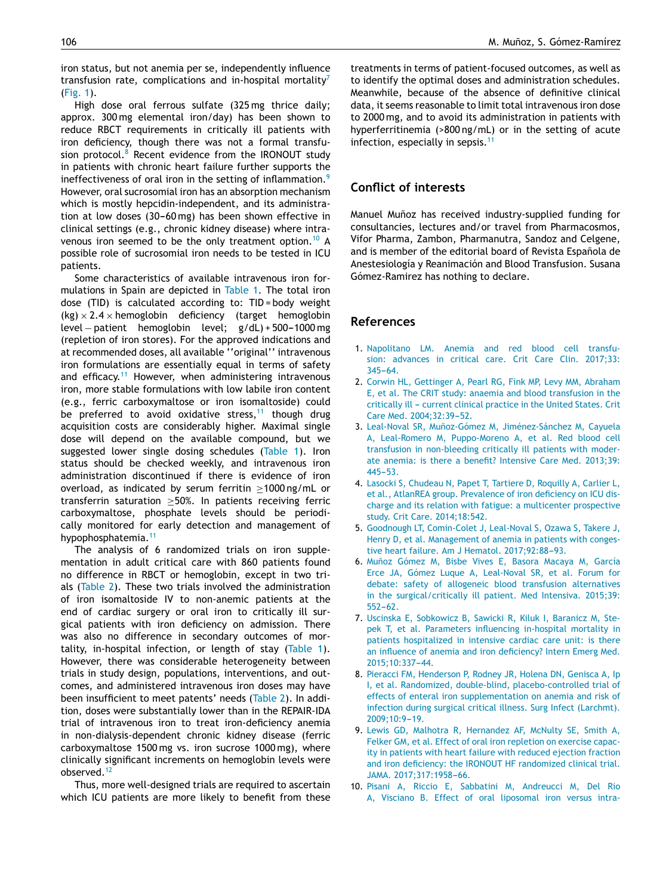iron status, but not anemia per se, independently influence transfusion rate, complications and in-hospital mortality<sup>7</sup> (Fig. 1).

High dose oral ferrous sulfate (325 mg thrice daily; approx. 300 mg elemental iron/day) has been shown to reduce RBCT requirements in critically ill patients with iron deficiency, though there was not a formal transfusion protocol. $8$  Recent evidence from the IRONOUT study in patients with chronic heart failure further supports the ineffectiveness of oral iron in the setting of inflammation.<sup>9</sup> However, oral sucrosomial iron has an absorption mechanism which is mostly hepcidin-independent, and its administration at low doses  $(30-60 \text{ mg})$  has been shown effective in clinical settings (e.g., chronic kidney disease) where intravenous iron seemed to be the only treatment option.<sup>10</sup> A possible role of sucrosomial iron needs to be tested in ICU patients.

Some characteristics of available intravenous iron formulations in Spain are depicted in Table 1. The total iron dose (TID) is calculated according to: TID = body weight  $(kg) \times 2.4 \times$  hemoglobin deficiency (target hemoglobin level – patient hemoglobin level; g/dL) + 500-1000 mg (repletion of iron stores). For the approved indications and at recommended doses, all available ''original'' intravenous iron formulations are essentially equal in terms of safety and efficacy.<sup>11</sup> However, when administering intravenous iron, more stable formulations with low labile iron content (e.g., ferric carboxymaltose or iron isomaltoside) could be preferred to avoid oxidative stress, $11$  though drug acquisition costs are considerably higher. Maximal single dose will depend on the available compound, but we suggested lower single dosing schedules (Table 1). Iron status should be checked weekly, and intravenous iron administration discontinued if there is evidence of iron overload, as indicated by serum ferritin ≥1000 ng/mL or transferrin saturation ≥50%. In patients receiving ferric carboxymaltose, phosphate levels should be periodically monitored for early detection and management of hypophosphatemia.<sup>11</sup>

The analysis of 6 randomized trials on iron supplementation in adult critical care with 860 patients found no difference in RBCT or hemoglobin, except in two trials (Table 2). These two trials involved the administration of iron isomaltoside IV to non-anemic patients at the end of cardiac surgery or oral iron to critically ill surgical patients with iron deficiency on admission. There was also no difference in secondary outcomes of mortality, in-hospital infection, or length of stay (Table 1). However, there was considerable heterogeneity between trials in study design, populations, interventions, and outcomes, and administered intravenous iron doses may have been insufficient to meet patents' needs (Table 2). In addition, doses were substantially lower than in the REPAIR-IDA trial of intravenous iron to treat iron-deficiency anemia in non-dialysis-dependent chronic kidney disease (ferric carboxymaltose 1500 mg vs. iron sucrose 1000 mg), where clinically significant increments on hemoglobin levels were observed.<sup>12</sup>

Thus, more well-designed trials are required to ascertain which ICU patients are more likely to benefit from these

treatments in terms of patient-focused outcomes, as well as to identify the optimal doses and administration schedules. Meanwhile, because of the absence of definitive clinical data, it seems reasonable to limit total intravenous iron dose to 2000 mg, and to avoid its administration in patients with hyperferritinemia (>800 ng/mL) or in the setting of acute infection, especially in sepsis.<sup>11</sup>

## **Conflict of interests**

Manuel Muñoz has received industry-supplied funding for consultancies, lectures and/or travel from Pharmacosmos, Vifor Pharma, Zambon, Pharmanutra, Sandoz and Celgene, and is member of the editorial board of Revista Española de Anestesiología y Reanimación and Blood Transfusion. Susana Gómez-Ramirez has nothing to declare.

## **References**

- 1. Napolitano LM. Anemia and red blood cell transfusion: advances in critical care. Crit Care Clin. 2017;33:  $345 - 64$ .
- 2. Corwin HL, Gettinger A, Pearl RG, Fink MP, Levy MM, Abraham E, et al. The CRIT study: anaemia and blood transfusion in the critically ill - current clinical practice in the United States. Crit Care Med. 2004;32:39-52.
- 3. Leal-Noval SR, Muñoz-Gómez M, Jiménez-Sánchez M, Cayuela A, Leal-Romero M, Puppo-Moreno A, et al. Red blood cell transfusion in non-bleeding critically ill patients with moderate anemia: is there a benefit? Intensive Care Med. 2013;39:  $445 - 53.$
- 4. Lasocki S, Chudeau N, Papet T, Tartiere D, Roquilly A, Carlier L, et al., AtlanREA group. Prevalence of iron deficiency on ICU discharge and its relation with fatigue: a multicenter prospective study. Crit Care. 2014;18:542.
- 5. Goodnough LT, Comin-Colet J, Leal-Noval S, Ozawa S, Takere J, Henry D, et al. Management of anemia in patients with congestive heart failure. Am J Hematol. 2017;92:88-93.
- 6. Muñoz Gómez M, Bisbe Vives E, Basora Macaya M, García Erce JA, Gómez Luque A, Leal-Noval SR, et al. Forum for debate: safety of allogeneic blood transfusion alternatives in the surgical/critically ill patient. Med Intensiva. 2015;39:  $552 - 62$ .
- 7. Uscinska E, Sobkowicz B, Sawicki R, Kiluk I, Baranicz M, Stepek T, et al. Parameters influencing in-hospital mortality in patients hospitalized in intensive cardiac care unit: is there an influence of anemia and iron deficiency? Intern Emerg Med. 2015:10:337-44.
- 8. Pieracci FM, Henderson P, Rodney JR, Holena DN, Genisca A, Ip I, et al. Randomized, double-blind, placebo-controlled trial of effects of enteral iron supplementation on anemia and risk of infection during surgical critical illness. Surg Infect (Larchmt). 2009;10:9-19.
- 9. Lewis GD, Malhotra R, Hernandez AF, McNulty SE, Smith A, Felker GM, et al. Effect of oral iron repletion on exercise capacity in patients with heart failure with reduced ejection fraction and iron deficiency: the IRONOUT HF randomized clinical trial. JAMA. 2017;317:1958-66.
- 10. Pisani A, Riccio E, Sabbatini M, Andreucci M, Del Rio A, Visciano B. Effect of oral liposomal iron versus intra-